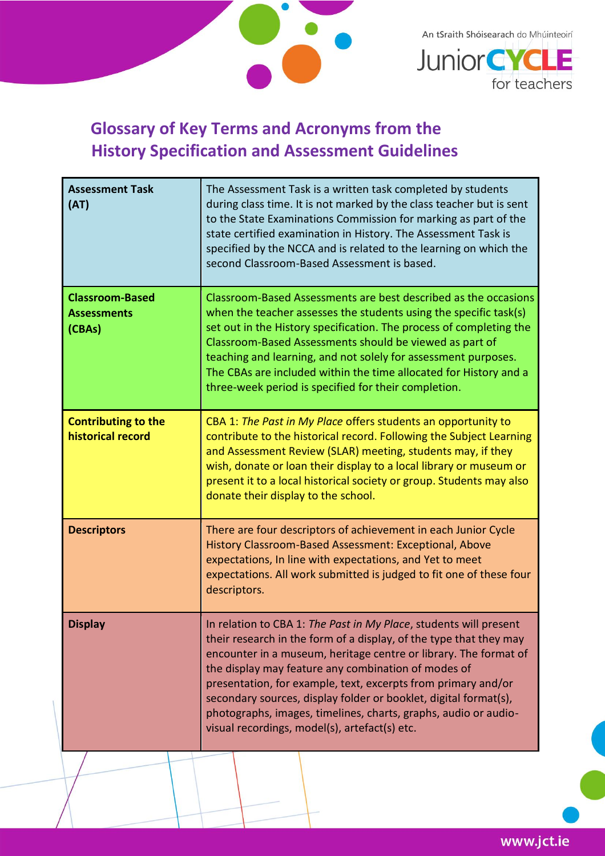

An tSraith Shóisearach do Mhúinteoirí



## **Glossary of Key Terms and Acronyms from the History Specification and Assessment Guidelines**

| <b>Assessment Task</b><br>(AT)                         | The Assessment Task is a written task completed by students<br>during class time. It is not marked by the class teacher but is sent<br>to the State Examinations Commission for marking as part of the<br>state certified examination in History. The Assessment Task is<br>specified by the NCCA and is related to the learning on which the<br>second Classroom-Based Assessment is based.                                                                                                                                |
|--------------------------------------------------------|-----------------------------------------------------------------------------------------------------------------------------------------------------------------------------------------------------------------------------------------------------------------------------------------------------------------------------------------------------------------------------------------------------------------------------------------------------------------------------------------------------------------------------|
| <b>Classroom-Based</b><br><b>Assessments</b><br>(CBAs) | Classroom-Based Assessments are best described as the occasions<br>when the teacher assesses the students using the specific task(s)<br>set out in the History specification. The process of completing the<br>Classroom-Based Assessments should be viewed as part of<br>teaching and learning, and not solely for assessment purposes.<br>The CBAs are included within the time allocated for History and a<br>three-week period is specified for their completion.                                                       |
| <b>Contributing to the</b><br>historical record        | CBA 1: The Past in My Place offers students an opportunity to<br>contribute to the historical record. Following the Subject Learning<br>and Assessment Review (SLAR) meeting, students may, if they<br>wish, donate or loan their display to a local library or museum or<br>present it to a local historical society or group. Students may also<br>donate their display to the school.                                                                                                                                    |
| <b>Descriptors</b>                                     | There are four descriptors of achievement in each Junior Cycle<br>History Classroom-Based Assessment: Exceptional, Above<br>expectations, In line with expectations, and Yet to meet<br>expectations. All work submitted is judged to fit one of these four<br>descriptors.                                                                                                                                                                                                                                                 |
| <b>Display</b>                                         | In relation to CBA 1: The Past in My Place, students will present<br>their research in the form of a display, of the type that they may<br>encounter in a museum, heritage centre or library. The format of<br>the display may feature any combination of modes of<br>presentation, for example, text, excerpts from primary and/or<br>secondary sources, display folder or booklet, digital format(s),<br>photographs, images, timelines, charts, graphs, audio or audio-<br>visual recordings, model(s), artefact(s) etc. |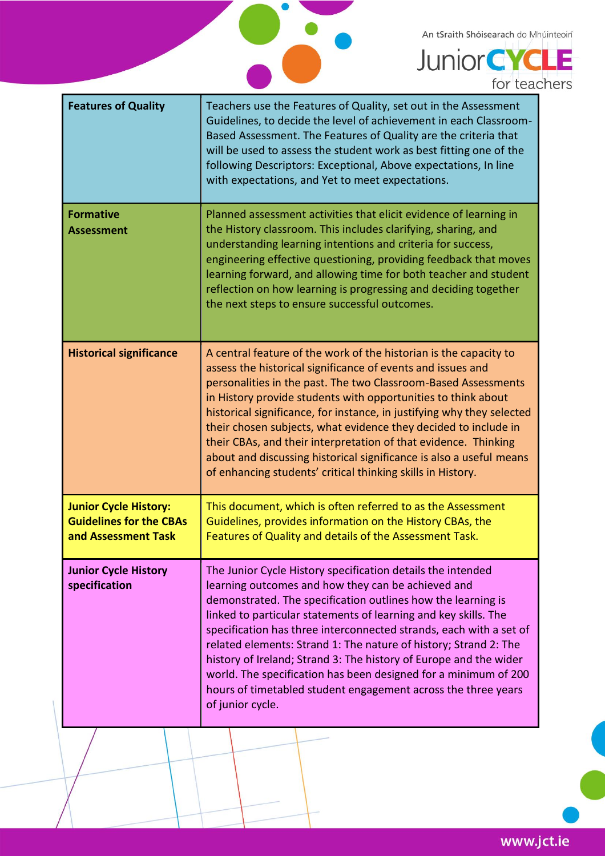An tSraith Shóisearach do Mhúinteoirí



| <b>Features of Quality</b>                                                            | Teachers use the Features of Quality, set out in the Assessment<br>Guidelines, to decide the level of achievement in each Classroom-<br>Based Assessment. The Features of Quality are the criteria that<br>will be used to assess the student work as best fitting one of the<br>following Descriptors: Exceptional, Above expectations, In line<br>with expectations, and Yet to meet expectations.                                                                                                                                                                                                                        |
|---------------------------------------------------------------------------------------|-----------------------------------------------------------------------------------------------------------------------------------------------------------------------------------------------------------------------------------------------------------------------------------------------------------------------------------------------------------------------------------------------------------------------------------------------------------------------------------------------------------------------------------------------------------------------------------------------------------------------------|
| <b>Formative</b><br><b>Assessment</b>                                                 | Planned assessment activities that elicit evidence of learning in<br>the History classroom. This includes clarifying, sharing, and<br>understanding learning intentions and criteria for success,<br>engineering effective questioning, providing feedback that moves<br>learning forward, and allowing time for both teacher and student<br>reflection on how learning is progressing and deciding together<br>the next steps to ensure successful outcomes.                                                                                                                                                               |
| <b>Historical significance</b>                                                        | A central feature of the work of the historian is the capacity to<br>assess the historical significance of events and issues and<br>personalities in the past. The two Classroom-Based Assessments<br>in History provide students with opportunities to think about<br>historical significance, for instance, in justifying why they selected<br>their chosen subjects, what evidence they decided to include in<br>their CBAs, and their interpretation of that evidence. Thinking<br>about and discussing historical significance is also a useful means<br>of enhancing students' critical thinking skills in History.   |
| <b>Junior Cycle History:</b><br><b>Guidelines for the CBAs</b><br>and Assessment Task | This document, which is often referred to as the Assessment<br>Guidelines, provides information on the History CBAs, the<br>Features of Quality and details of the Assessment Task.                                                                                                                                                                                                                                                                                                                                                                                                                                         |
| <b>Junior Cycle History</b><br>specification                                          | The Junior Cycle History specification details the intended<br>learning outcomes and how they can be achieved and<br>demonstrated. The specification outlines how the learning is<br>linked to particular statements of learning and key skills. The<br>specification has three interconnected strands, each with a set of<br>related elements: Strand 1: The nature of history; Strand 2: The<br>history of Ireland; Strand 3: The history of Europe and the wider<br>world. The specification has been designed for a minimum of 200<br>hours of timetabled student engagement across the three years<br>of junior cycle. |

2.

www.jct.ie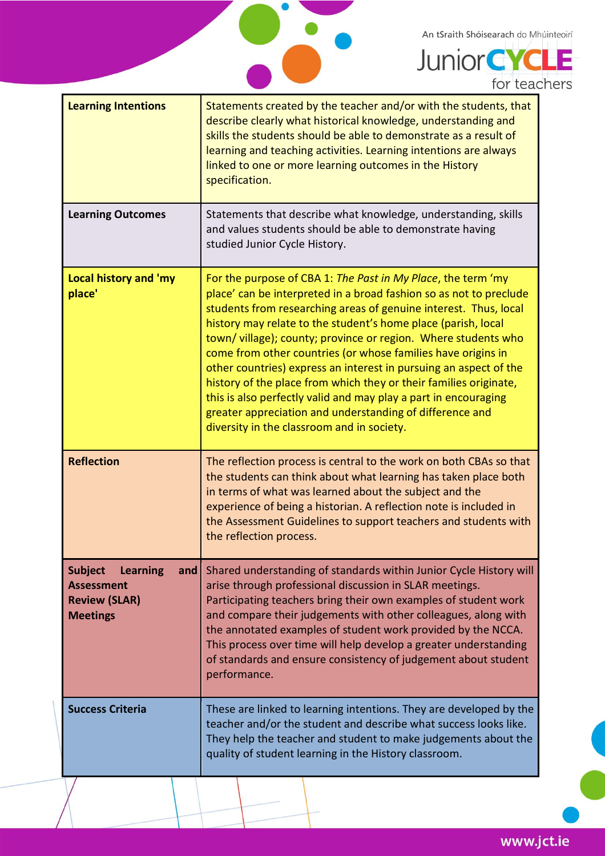An tSraith Shóisearach do Mhúinteoirí



**Junior CYCLE** for teachers

| <b>Learning Intentions</b>                                                                               | Statements created by the teacher and/or with the students, that<br>describe clearly what historical knowledge, understanding and<br>skills the students should be able to demonstrate as a result of<br>learning and teaching activities. Learning intentions are always<br>linked to one or more learning outcomes in the History<br>specification.                                                                                                                                                                                                                                                                                                                                                                           |
|----------------------------------------------------------------------------------------------------------|---------------------------------------------------------------------------------------------------------------------------------------------------------------------------------------------------------------------------------------------------------------------------------------------------------------------------------------------------------------------------------------------------------------------------------------------------------------------------------------------------------------------------------------------------------------------------------------------------------------------------------------------------------------------------------------------------------------------------------|
| <b>Learning Outcomes</b>                                                                                 | Statements that describe what knowledge, understanding, skills<br>and values students should be able to demonstrate having<br>studied Junior Cycle History.                                                                                                                                                                                                                                                                                                                                                                                                                                                                                                                                                                     |
| <b>Local history and 'my</b><br>place'                                                                   | For the purpose of CBA 1: The Past in My Place, the term 'my<br>place' can be interpreted in a broad fashion so as not to preclude<br>students from researching areas of genuine interest. Thus, local<br>history may relate to the student's home place (parish, local<br>town/village); county; province or region. Where students who<br>come from other countries (or whose families have origins in<br>other countries) express an interest in pursuing an aspect of the<br>history of the place from which they or their families originate,<br>this is also perfectly valid and may play a part in encouraging<br>greater appreciation and understanding of difference and<br>diversity in the classroom and in society. |
| <b>Reflection</b>                                                                                        | The reflection process is central to the work on both CBAs so that<br>the students can think about what learning has taken place both<br>in terms of what was learned about the subject and the<br>experience of being a historian. A reflection note is included in<br>the Assessment Guidelines to support teachers and students with<br>the reflection process.                                                                                                                                                                                                                                                                                                                                                              |
| <b>Subject</b><br><b>Learning</b><br>and<br><b>Assessment</b><br><b>Review (SLAR)</b><br><b>Meetings</b> | Shared understanding of standards within Junior Cycle History will<br>arise through professional discussion in SLAR meetings.<br>Participating teachers bring their own examples of student work<br>and compare their judgements with other colleagues, along with<br>the annotated examples of student work provided by the NCCA.<br>This process over time will help develop a greater understanding<br>of standards and ensure consistency of judgement about student<br>performance.                                                                                                                                                                                                                                        |
| <b>Success Criteria</b>                                                                                  | These are linked to learning intentions. They are developed by the<br>teacher and/or the student and describe what success looks like.<br>They help the teacher and student to make judgements about the<br>quality of student learning in the History classroom.                                                                                                                                                                                                                                                                                                                                                                                                                                                               |

www.jct.ie